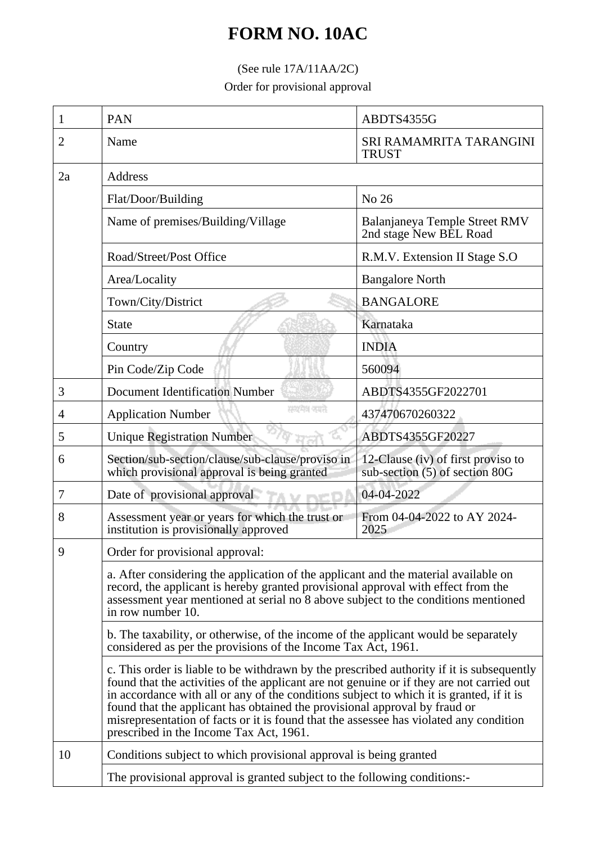## **FORM NO. 10AC**

## (See rule 17A/11AA/2C)

Order for provisional approval

| 1  | <b>PAN</b>                                                                                                                                                                                                                                                                                                                                                                                                                                                                                            | ABDTS4355G                                                           |  |
|----|-------------------------------------------------------------------------------------------------------------------------------------------------------------------------------------------------------------------------------------------------------------------------------------------------------------------------------------------------------------------------------------------------------------------------------------------------------------------------------------------------------|----------------------------------------------------------------------|--|
| 2  | Name                                                                                                                                                                                                                                                                                                                                                                                                                                                                                                  | SRI RAMAMRITA TARANGINI<br><b>TRUST</b>                              |  |
| 2a | Address                                                                                                                                                                                                                                                                                                                                                                                                                                                                                               |                                                                      |  |
|    | Flat/Door/Building                                                                                                                                                                                                                                                                                                                                                                                                                                                                                    | No 26                                                                |  |
|    | Name of premises/Building/Village                                                                                                                                                                                                                                                                                                                                                                                                                                                                     | Balanjaneya Temple Street RMV<br>2nd stage New BEL Road              |  |
|    | Road/Street/Post Office                                                                                                                                                                                                                                                                                                                                                                                                                                                                               | R.M.V. Extension II Stage S.O                                        |  |
|    | Area/Locality                                                                                                                                                                                                                                                                                                                                                                                                                                                                                         | <b>Bangalore North</b>                                               |  |
|    | Town/City/District                                                                                                                                                                                                                                                                                                                                                                                                                                                                                    | <b>BANGALORE</b>                                                     |  |
|    | <b>State</b>                                                                                                                                                                                                                                                                                                                                                                                                                                                                                          | Karnataka                                                            |  |
|    | Country                                                                                                                                                                                                                                                                                                                                                                                                                                                                                               | <b>INDIA</b>                                                         |  |
|    | Pin Code/Zip Code                                                                                                                                                                                                                                                                                                                                                                                                                                                                                     | 560094                                                               |  |
| 3  | <b>Document Identification Number</b>                                                                                                                                                                                                                                                                                                                                                                                                                                                                 | ABDTS4355GF2022701                                                   |  |
| 4  | सम्प्रमेश क्याते<br><b>Application Number</b>                                                                                                                                                                                                                                                                                                                                                                                                                                                         | 437470670260322                                                      |  |
| 5  | <b>Unique Registration Number</b>                                                                                                                                                                                                                                                                                                                                                                                                                                                                     | ABDTS4355GF20227                                                     |  |
| 6  | Section/sub-section/clause/sub-clause/proviso in<br>which provisional approval is being granted                                                                                                                                                                                                                                                                                                                                                                                                       | 12-Clause (iv) of first proviso to<br>sub-section (5) of section 80G |  |
| 7  | Date of provisional approval                                                                                                                                                                                                                                                                                                                                                                                                                                                                          | 04-04-2022                                                           |  |
| 8  | Assessment year or years for which the trust or<br>institution is provisionally approved                                                                                                                                                                                                                                                                                                                                                                                                              | From 04-04-2022 to AY 2024-<br>2025                                  |  |
| 9  | Order for provisional approval:                                                                                                                                                                                                                                                                                                                                                                                                                                                                       |                                                                      |  |
|    | a. After considering the application of the applicant and the material available on<br>record, the applicant is hereby granted provisional approval with effect from the<br>assessment year mentioned at serial no 8 above subject to the conditions mentioned<br>in row number 10.                                                                                                                                                                                                                   |                                                                      |  |
|    | b. The taxability, or otherwise, of the income of the applicant would be separately<br>considered as per the provisions of the Income Tax Act, 1961.                                                                                                                                                                                                                                                                                                                                                  |                                                                      |  |
|    | c. This order is liable to be withdrawn by the prescribed authority if it is subsequently<br>found that the activities of the applicant are not genuine or if they are not carried out<br>in accordance with all or any of the conditions subject to which it is granted, if it is<br>found that the applicant has obtained the provisional approval by fraud or<br>misrepresentation of facts or it is found that the assessee has violated any condition<br>prescribed in the Income Tax Act, 1961. |                                                                      |  |
| 10 | Conditions subject to which provisional approval is being granted                                                                                                                                                                                                                                                                                                                                                                                                                                     |                                                                      |  |
|    | The provisional approval is granted subject to the following conditions:-                                                                                                                                                                                                                                                                                                                                                                                                                             |                                                                      |  |